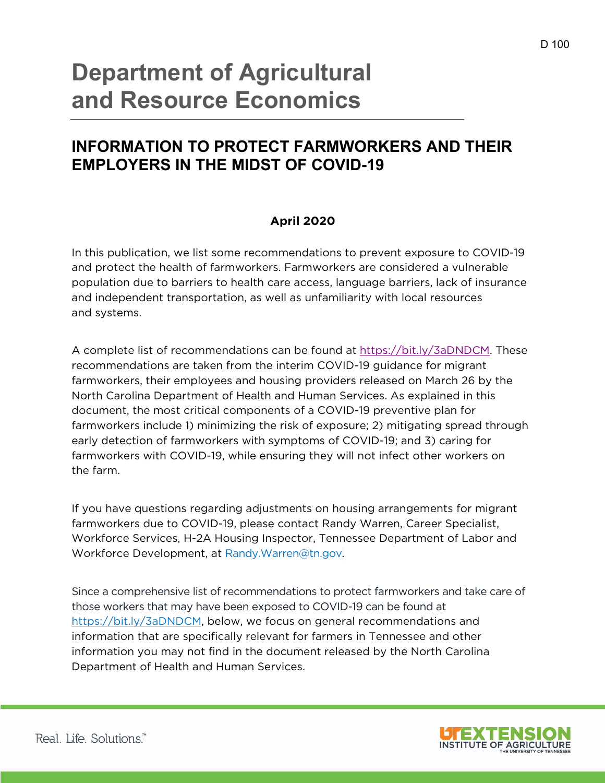# **Department of Agricultural and Resource Economics**

# **INFORMATION TO PROTECT FARMWORKERS AND THEIR EMPLOYERS IN THE MIDST OF COVID-19**

# **April 2020**

In this publication, we list some recommendations to prevent exposure to COVID-19 and protect the health of farmworkers. Farmworkers are considered a vulnerable population due to barriers to health care access, language barriers, lack of insurance and independent transportation, as well as unfamiliarity with local resources and systems.

A complete list of recommendations can be found at https://bit.ly/3aDNDCM. These recommendations are taken from the interim COVID-19 guidance for migrant farmworkers, their employees and housing providers released on March 26 by the North Carolina Department of Health and Human Services. As explained in this document, the most critical components of a COVID-19 preventive plan for farmworkers include 1) minimizing the risk of exposure; 2) mitigating spread through early detection of farmworkers with symptoms of COVID-19; and 3) caring for farmworkers with COVID-19, while ensuring they will not infect other workers on the farm.

If you have questions regarding adjustments on housing arrangements for migrant farmworkers due to COVID-19, please contact Randy Warren, Career Specialist, Workforce Services, H-2A Housing Inspector, Tennessee Department of Labor and Workforce Development, at Randy.Warren@tn.gov.

Since a comprehensive list of recommendations to protect farmworkers and take care of those workers that may have been exposed to COVID-19 can be found at https://bit.ly/3aDNDCM, below, we focus on general recommendations and information that are specifically relevant for farmers in Tennessee and other information you may not find in the document released by the North Carolina Department of Health and Human Services.

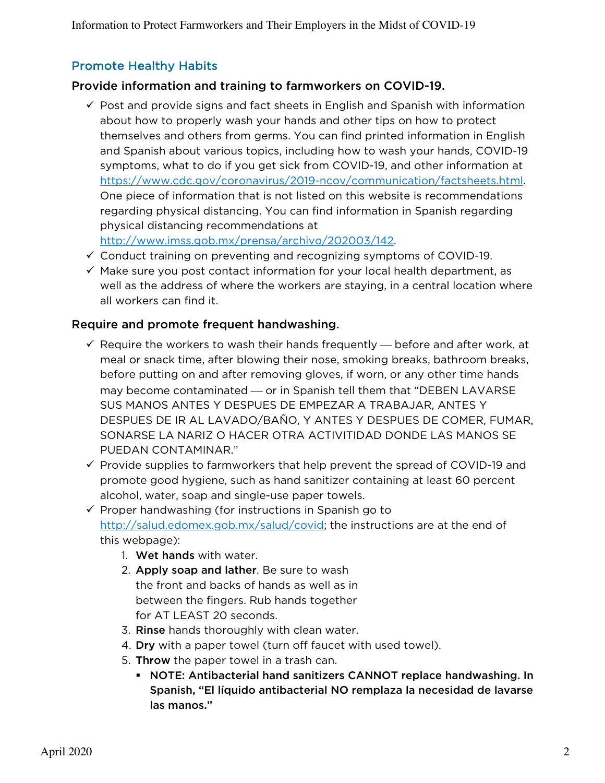# Promote Healthy Habits

## Provide information and training to farmworkers on COVID-19.

 $\checkmark$  Post and provide signs and fact sheets in English and Spanish with information about how to properly wash your hands and other tips on how to protect themselves and others from germs. You can find printed information in English and Spanish about various topics, including how to wash your hands, COVID-19 symptoms, what to do if you get sick from COVID-19, and other information at https://www.cdc.gov/coronavirus/2019-ncov/communication/factsheets.html. One piece of information that is not listed on this website is recommendations regarding physical distancing. You can find information in Spanish regarding physical distancing recommendations at

http://www.imss.gob.mx/prensa/archivo/202003/142.

- $\checkmark$  Conduct training on preventing and recognizing symptoms of COVID-19.
- $\checkmark$  Make sure you post contact information for your local health department, as well as the address of where the workers are staying, in a central location where all workers can find it.

## Require and promote frequent handwashing.

- $\checkmark$  Require the workers to wash their hands frequently  $\checkmark$  before and after work, at meal or snack time, after blowing their nose, smoking breaks, bathroom breaks, before putting on and after removing gloves, if worn, or any other time hands may become contaminated — or in Spanish tell them that "DEBEN LAVARSE SUS MANOS ANTES Y DESPUES DE EMPEZAR A TRABAJAR, ANTES Y DESPUES DE IR AL LAVADO/BAÑO, Y ANTES Y DESPUES DE COMER, FUMAR, SONARSE LA NARIZ O HACER OTRA ACTIVITIDAD DONDE LAS MANOS SE PUEDAN CONTAMINAR."
- $\checkmark$  Provide supplies to farmworkers that help prevent the spread of COVID-19 and promote good hygiene, such as hand sanitizer containing at least 60 percent alcohol, water, soap and single-use paper towels.

 $\checkmark$  Proper handwashing (for instructions in Spanish go to http://salud.edomex.gob.mx/salud/covid; the instructions are at the end of this webpage):

- 1. Wet hands with water.
- 2. Apply soap and lather. Be sure to wash the front and backs of hands as well as in between the fingers. Rub hands together for AT LEAST 20 seconds.
- 3. Rinse hands thoroughly with clean water.
- 4. Dry with a paper towel (turn off faucet with used towel).
- 5. Throw the paper towel in a trash can.
	- § NOTE: Antibacterial hand sanitizers CANNOT replace handwashing. In Spanish, "El líquido antibacterial NO remplaza la necesidad de lavarse las manos."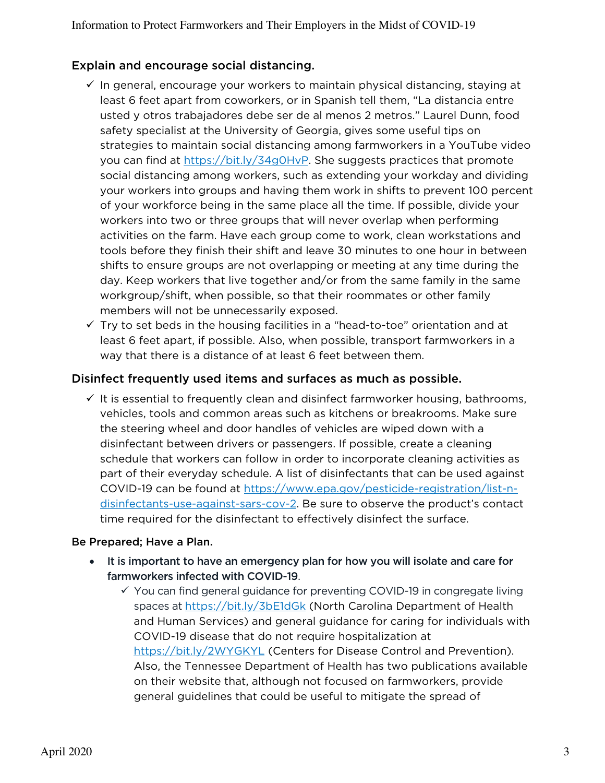# Explain and encourage social distancing.

- $\checkmark$  In general, encourage your workers to maintain physical distancing, staying at least 6 feet apart from coworkers, or in Spanish tell them, "La distancia entre usted y otros trabajadores debe ser de al menos 2 metros." Laurel Dunn, food safety specialist at the University of Georgia, gives some useful tips on strategies to maintain social distancing among farmworkers in a YouTube video you can find at https://bit.ly/34g0HvP. She suggests practices that promote social distancing among workers, such as extending your workday and dividing your workers into groups and having them work in shifts to prevent 100 percent of your workforce being in the same place all the time. If possible, divide your workers into two or three groups that will never overlap when performing activities on the farm. Have each group come to work, clean workstations and tools before they finish their shift and leave 30 minutes to one hour in between shifts to ensure groups are not overlapping or meeting at any time during the day. Keep workers that live together and/or from the same family in the same workgroup/shift, when possible, so that their roommates or other family members will not be unnecessarily exposed.
- $\checkmark$  Try to set beds in the housing facilities in a "head-to-toe" orientation and at least 6 feet apart, if possible. Also, when possible, transport farmworkers in a way that there is a distance of at least 6 feet between them.

# Disinfect frequently used items and surfaces as much as possible.

 $\checkmark$  It is essential to frequently clean and disinfect farmworker housing, bathrooms, vehicles, tools and common areas such as kitchens or breakrooms. Make sure the steering wheel and door handles of vehicles are wiped down with a disinfectant between drivers or passengers. If possible, create a cleaning schedule that workers can follow in order to incorporate cleaning activities as part of their everyday schedule. A list of disinfectants that can be used against COVID-19 can be found at https://www.epa.gov/pesticide-registration/list-ndisinfectants-use-against-sars-cov-2. Be sure to observe the product's contact time required for the disinfectant to effectively disinfect the surface.

## Be Prepared; Have a Plan.

- It is important to have an emergency plan for how you will isolate and care for farmworkers infected with COVID-19.
	- $\checkmark$  You can find general guidance for preventing COVID-19 in congregate living spaces at https://bit.ly/3bE1dGk (North Carolina Department of Health and Human Services) and general guidance for caring for individuals with COVID-19 disease that do not require hospitalization at https://bit.ly/2WYGKYL (Centers for Disease Control and Prevention). Also, the Tennessee Department of Health has two publications available on their website that, although not focused on farmworkers, provide general guidelines that could be useful to mitigate the spread of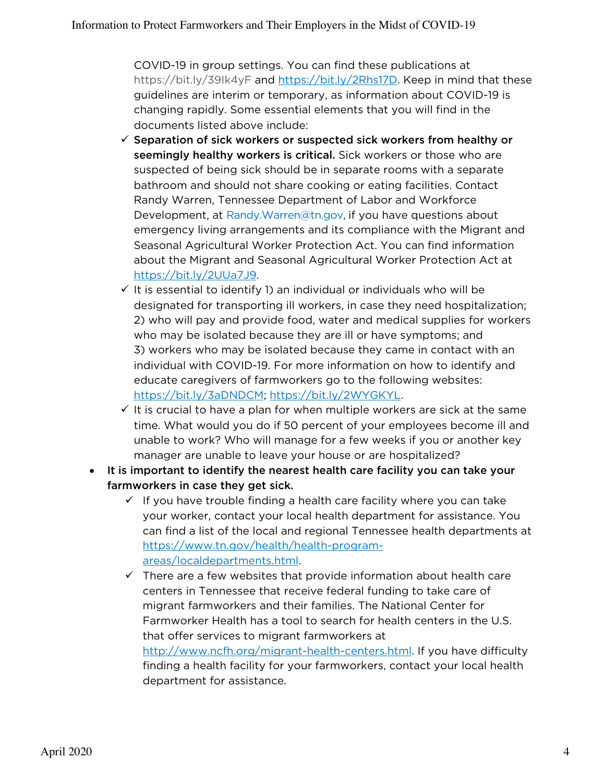COVID-19 in group settings. You can find these publications at https://bit.ly/39Ik4yF and https://bit.ly/2Rhs17D. Keep in mind that these guidelines are interim or temporary, as information about COVID-19 is changing rapidly. Some essential elements that you will find in the documents listed above include:

- $\checkmark$  Separation of sick workers or suspected sick workers from healthy or seemingly healthy workers is critical. Sick workers or those who are suspected of being sick should be in separate rooms with a separate bathroom and should not share cooking or eating facilities. Contact Randy Warren, Tennessee Department of Labor and Workforce Development, at Randy.Warren@tn.gov, if you have questions about emergency living arrangements and its compliance with the Migrant and Seasonal Agricultural Worker Protection Act. You can find information about the Migrant and Seasonal Agricultural Worker Protection Act at https://bit.ly/2UUa7J9.
- $\checkmark$  It is essential to identify 1) an individual or individuals who will be designated for transporting ill workers, in case they need hospitalization; 2) who will pay and provide food, water and medical supplies for workers who may be isolated because they are ill or have symptoms; and 3) workers who may be isolated because they came in contact with an individual with COVID-19. For more information on how to identify and educate caregivers of farmworkers go to the following websites: https://bit.ly/3aDNDCM; https://bit.ly/2WYGKYL.
- $\checkmark$  It is crucial to have a plan for when multiple workers are sick at the same time. What would you do if 50 percent of your employees become ill and unable to work? Who will manage for a few weeks if you or another key manager are unable to leave your house or are hospitalized?
- It is important to identify the nearest health care facility you can take your farmworkers in case they get sick.
	- $\checkmark$  If you have trouble finding a health care facility where you can take your worker, contact your local health department for assistance. You can find a list of the local and regional Tennessee health departments at https://www.tn.gov/health/health-programareas/localdepartments.html.
	- $\checkmark$  There are a few websites that provide information about health care centers in Tennessee that receive federal funding to take care of migrant farmworkers and their families. The National Center for Farmworker Health has a tool to search for health centers in the U.S. that offer services to migrant farmworkers at http://www.ncfh.org/migrant-health-centers.html. If you have difficulty

finding a health facility for your farmworkers, contact your local health department for assistance.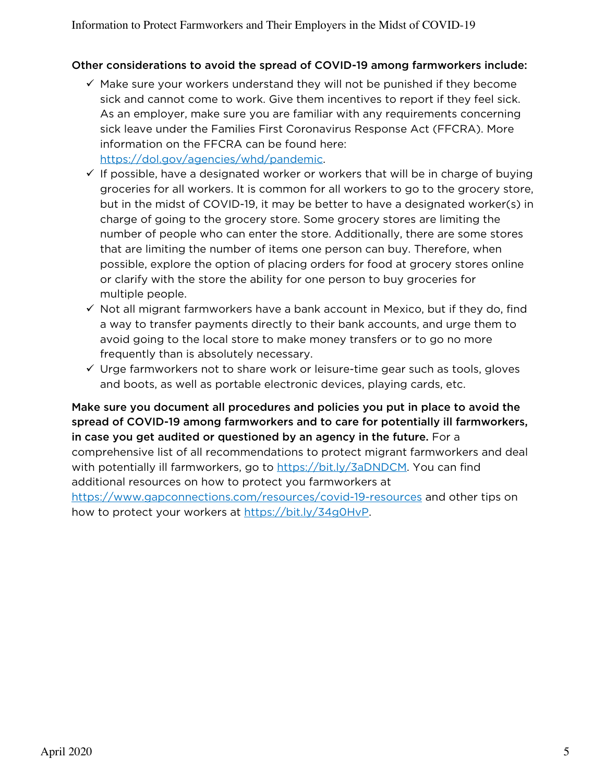#### Other considerations to avoid the spread of COVID-19 among farmworkers include:

- $\checkmark$  Make sure your workers understand they will not be punished if they become sick and cannot come to work. Give them incentives to report if they feel sick. As an employer, make sure you are familiar with any requirements concerning sick leave under the Families First Coronavirus Response Act (FFCRA). More information on the FFCRA can be found here: https://dol.gov/agencies/whd/pandemic.
- $\checkmark$  If possible, have a designated worker or workers that will be in charge of buying groceries for all workers. It is common for all workers to go to the grocery store, but in the midst of COVID-19, it may be better to have a designated worker(s) in charge of going to the grocery store. Some grocery stores are limiting the number of people who can enter the store. Additionally, there are some stores that are limiting the number of items one person can buy. Therefore, when possible, explore the option of placing orders for food at grocery stores online or clarify with the store the ability for one person to buy groceries for multiple people.
- $\checkmark$  Not all migrant farmworkers have a bank account in Mexico, but if they do, find a way to transfer payments directly to their bank accounts, and urge them to avoid going to the local store to make money transfers or to go no more frequently than is absolutely necessary.
- $\checkmark$  Urge farmworkers not to share work or leisure-time gear such as tools, gloves and boots, as well as portable electronic devices, playing cards, etc.

Make sure you document all procedures and policies you put in place to avoid the spread of COVID-19 among farmworkers and to care for potentially ill farmworkers, in case you get audited or questioned by an agency in the future. For a comprehensive list of all recommendations to protect migrant farmworkers and deal with potentially ill farmworkers, go to https://bit.ly/3aDNDCM. You can find additional resources on how to protect you farmworkers at https://www.gapconnections.com/resources/covid-19-resources and other tips on how to protect your workers at https://bit.ly/34g0HvP.